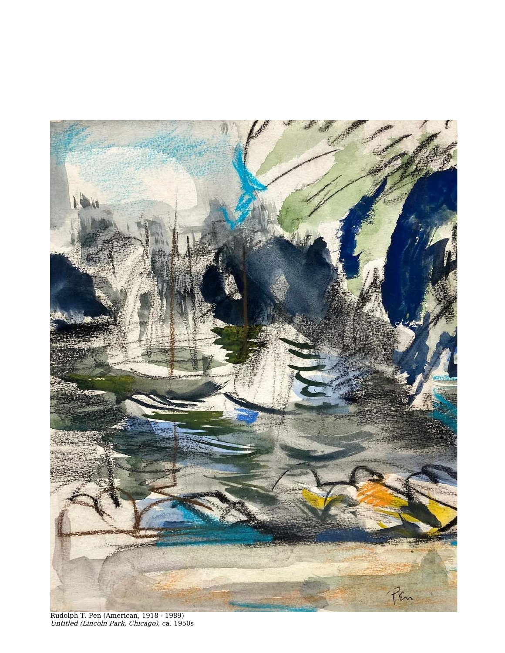

Rudolph T. Pen (American, 1918 - 1989) Untitled (Lincoln Park, Chicago), ca. 1950s